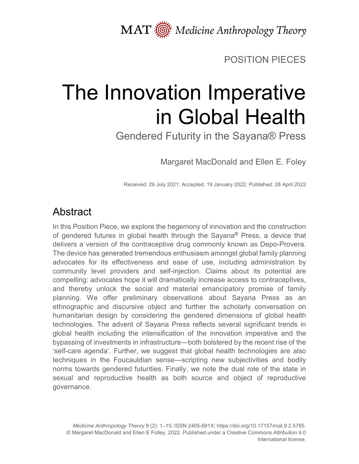MAT  $\overline{\text{M}}$  Medicine Anthropology Theory

## POSITION PIECES

# The Innovation Imperative in Global Health

Gendered Futurity in the Sayana® Press

Margaret MacDonald and Ellen E. Foley

Received: 29 July 2021; Accepted: 19 January 2022; Published: 28 April 2022

# Abstract

In this Position Piece, we explore the hegemony of innovation and the construction of gendered futures in global health through the Sayana**®** Press, a device that delivers a version of the contraceptive drug commonly known as Depo-Provera. The device has generated tremendous enthusiasm amongst global family planning advocates for its effectiveness and ease of use, including administration by community level providers and self-injection. Claims about its potential are compelling: advocates hope it will dramatically increase access to contraceptives, and thereby unlock the social and material emancipatory promise of family planning. We offer preliminary observations about Sayana Press as an ethnographic and discursive object and further the scholarly conversation on humanitarian design by considering the gendered dimensions of global health technologies. The advent of Sayana Press reflects several significant trends in global health including the intensification of the innovation imperative and the bypassing of investments in infrastructure—both bolstered by the recent rise of the 'self-care agenda'. Further, we suggest that global health technologies are also techniques in the Foucauldian sense—scripting new subjectivities and bodily norms towards gendered futurities. Finally, we note the dual role of the state in sexual and reproductive health as both source and object of reproductive governance.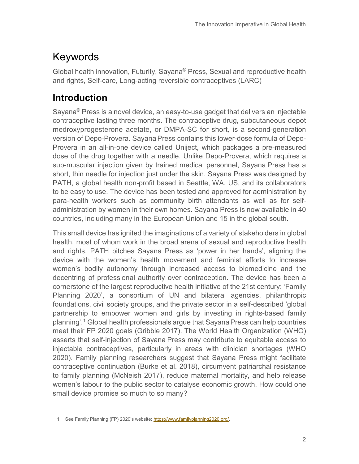# Keywords

Global health innovation, Futurity, Sayana**®** Press, Sexual and reproductive health and rights, Self-care, Long-acting reversible contraceptives (LARC)

### **Introduction**

Sayana® Press is a novel device, an easy-to-use gadget that delivers an injectable contraceptive lasting three months. The contraceptive drug, subcutaneous depot medroxyprogesterone acetate, or DMPA-SC for short*,* is a second-generation version of Depo-Provera. Sayana Press contains this lower-dose formula of Depo-Provera in an all-in-one device called Uniject, which packages a pre-measured dose of the drug together with a needle. Unlike Depo-Provera, which requires a sub-muscular injection given by trained medical personnel, Sayana Press has a short, thin needle for injection just under the skin. Sayana Press was designed by PATH, a global health non-profit based in Seattle, WA, US, and its collaborators to be easy to use. The device has been tested and approved for administration by para-health workers such as community birth attendants as well as for selfadministration by women in their own homes. Sayana Press is now available in 40 countries, including many in the European Union and 15 in the global south.

This small device has ignited the imaginations of a variety of stakeholders in global health, most of whom work in the broad arena of sexual and reproductive health and rights. PATH pitches Sayana Press as 'power in her hands', aligning the device with the women's health movement and feminist efforts to increase women's bodily autonomy through increased access to biomedicine and the decentring of professional authority over contraception. The device has been a cornerstone of the largest reproductive health initiative of the 21st century: 'Family Planning 2020', a consortium of UN and bilateral agencies, philanthropic foundations, civil society groups, and the private sector in a self-described 'global partnership to empower women and girls by investing in rights-based family planning'. [1](#page-1-0) Global health professionals argue that SayanaPress can help countries meet their FP 2020 goals (Gribble 2017). The World Health Organization (WHO) asserts that self-injection of Sayana Press may contribute to equitable access to injectable contraceptives, particularly in areas with clinician shortages (WHO 2020). Family planning researchers suggest that Sayana Press might facilitate contraceptive continuation (Burke et al. 2018), circumvent patriarchal resistance to family planning (McNeish 2017), reduce maternal mortality, and help release women's labour to the public sector to catalyse economic growth. How could one small device promise so much to so many?

<span id="page-1-0"></span><sup>1</sup> See Family Planning (FP) 2020's website: [https://www.familyplanning2020.org/.](https://www.familyplanning2020.org/)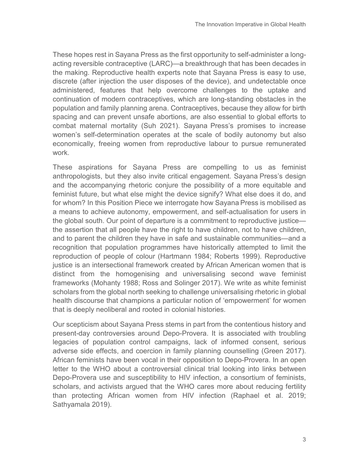These hopes rest in Sayana Press as the first opportunity to self-administer a longacting reversible contraceptive (LARC)—a breakthrough that has been decades in the making. Reproductive health experts note that Sayana Press is easy to use, discrete (after injection the user disposes of the device), and undetectable once administered, features that help overcome challenges to the uptake and continuation of modern contraceptives, which are long-standing obstacles in the population and family planning arena. Contraceptives, because they allow for birth spacing and can prevent unsafe abortions, are also essential to global efforts to combat maternal mortality (Suh 2021). Sayana Press's promises to increase women's self-determination operates at the scale of bodily autonomy but also economically, freeing women from reproductive labour to pursue remunerated work.

These aspirations for Sayana Press are compelling to us as feminist anthropologists, but they also invite critical engagement. Sayana Press's design and the accompanying rhetoric conjure the possibility of a more equitable and feminist future, but what else might the device signify? What else does it do, and for whom? In this Position Piece we interrogate how Sayana Press is mobilised as a means to achieve autonomy, empowerment, and self-actualisation for users in the global south. Our point of departure is a commitment to reproductive justice the assertion that all people have the right to have children, not to have children, and to parent the children they have in safe and sustainable communities—and a recognition that population programmes have historically attempted to limit the reproduction of people of colour (Hartmann 1984; Roberts 1999). Reproductive justice is an intersectional framework created by African American women that is distinct from the homogenising and universalising second wave feminist frameworks (Mohanty 1988; Ross and Solinger 2017). We write as white feminist scholars from the global north seeking to challenge universalising rhetoric in global health discourse that champions a particular notion of 'empowerment' for women that is deeply neoliberal and rooted in colonial histories.

Our scepticism about Sayana Press stems in part from the contentious history and present-day controversies around Depo-Provera. It is associated with troubling legacies of population control campaigns, lack of informed consent, serious adverse side effects, and coercion in family planning counselling (Green 2017). African feminists have been vocal in their opposition to Depo-Provera. In an open letter to the WHO about a controversial clinical trial looking into links between Depo-Provera use and susceptibility to HIV infection, a consortium of feminists, scholars, and activists argued that the WHO cares more about reducing fertility than protecting African women from HIV infection (Raphael et al. 2019; Sathyamala 2019).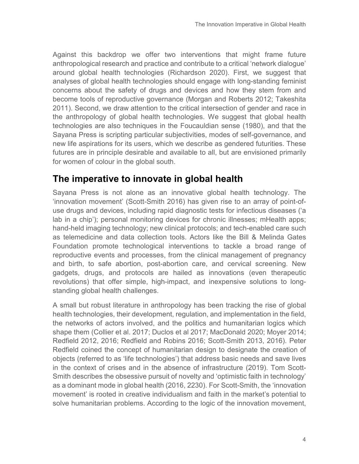Against this backdrop we offer two interventions that might frame future anthropological research and practice and contribute to a critical 'network dialogue' around global health technologies (Richardson 2020). First, we suggest that analyses of global health technologies should engage with long-standing feminist concerns about the safety of drugs and devices and how they stem from and become tools of reproductive governance (Morgan and Roberts 2012; Takeshita 2011). Second, we draw attention to the critical intersection of gender and race in the anthropology of global health technologies. We suggest that global health technologies are also techniques in the Foucauldian sense (1980), and that the Sayana Press is scripting particular subjectivities, modes of self-governance, and new life aspirations for its users, which we describe as gendered futurities. These futures are in principle desirable and available to all, but are envisioned primarily for women of colour in the global south.

#### **The imperative to innovate in global health**

Sayana Press is not alone as an innovative global health technology. The 'innovation movement' (Scott-Smith 2016) has given rise to an array of point-ofuse drugs and devices, including rapid diagnostic tests for infectious diseases ('a lab in a chip'); personal monitoring devices for chronic illnesses; mHealth apps; hand-held imaging technology; new clinical protocols; and tech-enabled care such as telemedicine and data collection tools. Actors like the Bill & Melinda Gates Foundation promote technological interventions to tackle a broad range of reproductive events and processes, from the clinical management of pregnancy and birth, to safe abortion, post-abortion care, and cervical screening. New gadgets, drugs, and protocols are hailed as innovations (even therapeutic revolutions) that offer simple, high-impact, and inexpensive solutions to longstanding global health challenges.

A small but robust literature in anthropology has been tracking the rise of global health technologies, their development, regulation, and implementation in the field, the networks of actors involved, and the politics and humanitarian logics which shape them (Collier et al. 2017; Duclos et al 2017; MacDonald 2020; Moyer 2014; Redfield 2012, 2016; Redfield and Robins 2016; Scott-Smith 2013, 2016). Peter Redfield coined the concept of humanitarian design to designate the creation of objects (referred to as 'life technologies') that address basic needs and save lives in the context of crises and in the absence of infrastructure (2019). Tom Scott-Smith describes the obsessive pursuit of novelty and 'optimistic faith in technology' as a dominant mode in global health (2016, 2230). For Scott-Smith, the 'innovation movement' is rooted in creative individualism and faith in the market's potential to solve humanitarian problems. According to the logic of the innovation movement,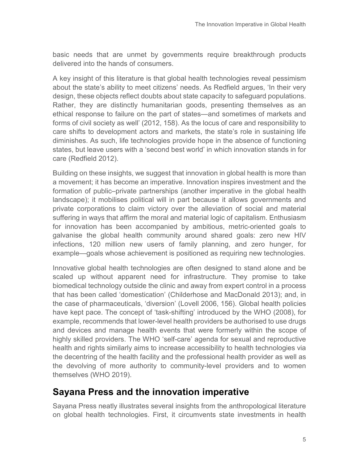basic needs that are unmet by governments require breakthrough products delivered into the hands of consumers.

A key insight of this literature is that global health technologies reveal pessimism about the state's ability to meet citizens' needs. As Redfield argues, 'In their very design, these objects reflect doubts about state capacity to safeguard populations. Rather, they are distinctly humanitarian goods, presenting themselves as an ethical response to failure on the part of states—and sometimes of markets and forms of civil society as well' (2012, 158). As the locus of care and responsibility to care shifts to development actors and markets, the state's role in sustaining life diminishes. As such, life technologies provide hope in the absence of functioning states, but leave users with a 'second best world' in which innovation stands in for care (Redfield 2012).

Building on these insights, we suggest that innovation in global health is more than a movement; it has become an imperative. Innovation inspires investment and the formation of public–private partnerships (another imperative in the global health landscape); it mobilises political will in part because it allows governments and private corporations to claim victory over the alleviation of social and material suffering in ways that affirm the moral and material logic of capitalism. Enthusiasm for innovation has been accompanied by ambitious, metric-oriented goals to galvanise the global health community around shared goals: zero new HIV infections, 120 million new users of family planning, and zero hunger, for example—goals whose achievement is positioned as requiring new technologies.

Innovative global health technologies are often designed to stand alone and be scaled up without apparent need for infrastructure. They promise to take biomedical technology outside the clinic and away from expert control in a process that has been called 'domestication' (Childerhose and MacDonald 2013); and, in the case of pharmaceuticals, 'diversion' (Lovell 2006, 156). Global health policies have kept pace. The concept of 'task-shifting' introduced by the WHO (2008), for example, recommends that lower-level health providers be authorised to use drugs and devices and manage health events that were formerly within the scope of highly skilled providers. The WHO 'self-care' agenda for sexual and reproductive health and rights similarly aims to increase accessibility to health technologies via the decentring of the health facility and the professional health provider as well as the devolving of more authority to community-level providers and to women themselves (WHO 2019).

#### **Sayana Press and the innovation imperative**

Sayana Press neatly illustrates several insights from the anthropological literature on global health technologies. First, it circumvents state investments in health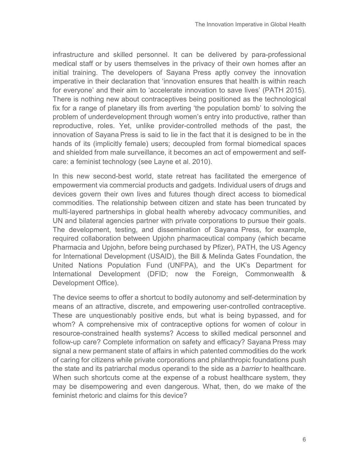infrastructure and skilled personnel. It can be delivered by para-professional medical staff or by users themselves in the privacy of their own homes after an initial training. The developers of Sayana Press aptly convey the innovation imperative in their declaration that 'innovation ensures that health is within reach for everyone' and their aim to 'accelerate innovation to save lives' (PATH 2015). There is nothing new about contraceptives being positioned as the technological fix for a range of planetary ills from averting 'the population bomb' to solving the problem of underdevelopment through women's entry into productive, rather than reproductive, roles. Yet, unlike provider-controlled methods of the past, the innovation of Sayana Press is said to lie in the fact that it is designed to be in the hands of its (implicitly female) users; decoupled from formal biomedical spaces and shielded from male surveillance, it becomes an act of empowerment and selfcare: a feminist technology (see Layne et al. 2010).

In this new second-best world, state retreat has facilitated the emergence of empowerment via commercial products and gadgets. Individual users of drugs and devices govern their own lives and futures though direct access to biomedical commodities. The relationship between citizen and state has been truncated by multi-layered partnerships in global health whereby advocacy communities, and UN and bilateral agencies partner with private corporations to pursue their goals. The development, testing, and dissemination of Sayana Press, for example, required collaboration between Upjohn pharmaceutical company (which became Pharmacia and Upjohn, before being purchased by Pfizer), PATH, the US Agency for International Development (USAID), the Bill & Melinda Gates Foundation, the United Nations Population Fund (UNFPA), and the UK's Department for International Development (DFID; now the Foreign, Commonwealth & Development Office).

The device seems to offer a shortcut to bodily autonomy and self-determination by means of an attractive, discrete, and empowering user-controlled contraceptive. These are unquestionably positive ends, but what is being bypassed, and for whom? A comprehensive mix of contraceptive options for women of colour in resource-constrained health systems? Access to skilled medical personnel and follow-up care? Complete information on safety and efficacy? Sayana Press may signal a new permanent state of affairs in which patented commodities do the work of caring for citizens while private corporations and philanthropic foundations push the state and its patriarchal modus operandi to the side as a *barrier* to healthcare. When such shortcuts come at the expense of a robust healthcare system, they may be disempowering and even dangerous. What, then, do we make of the feminist rhetoric and claims for this device?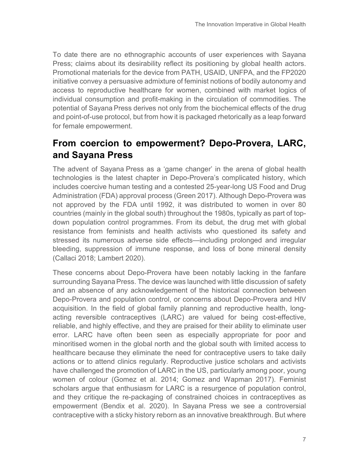To date there are no ethnographic accounts of user experiences with Sayana Press; claims about its desirability reflect its positioning by global health actors. Promotional materials for the device from PATH, USAID, UNFPA, and the FP2020 initiative convey a persuasive admixture of feminist notions of bodily autonomy and access to reproductive healthcare for women, combined with market logics of individual consumption and profit-making in the circulation of commodities. The potential of Sayana Press derives not only from the biochemical effects of the drug and point-of-use protocol, but from how it is packaged rhetorically as a leap forward for female empowerment.

### **From coercion to empowerment? Depo-Provera, LARC, and Sayana Press**

The advent of Sayana Press as a 'game changer' in the arena of global health technologies is the latest chapter in Depo-Provera's complicated history, which includes coercive human testing and a contested 25-year-long US Food and Drug Administration (FDA) approval process (Green 2017). Although Depo-Provera was not approved by the FDA until 1992, it was distributed to women in over 80 countries (mainly in the global south) throughout the 1980s, typically as part of topdown population control programmes. From its debut, the drug met with global resistance from feminists and health activists who questioned its safety and stressed its numerous adverse side effects—including prolonged and irregular bleeding, suppression of immune response, and loss of bone mineral density (Callaci 2018; Lambert 2020).

These concerns about Depo-Provera have been notably lacking in the fanfare surrounding Sayana Press. The device was launched with little discussion of safety and an absence of any acknowledgement of the historical connection between Depo-Provera and population control, or concerns about Depo-Provera and HIV acquisition. In the field of global family planning and reproductive health, longacting reversible contraceptives (LARC) are valued for being cost-effective, reliable, and highly effective, and they are praised for their ability to eliminate user error. LARC have often been seen as especially appropriate for poor and minoritised women in the global north and the global south with limited access to healthcare because they eliminate the need for contraceptive users to take daily actions or to attend clinics regularly. Reproductive justice scholars and activists have challenged the promotion of LARC in the US, particularly among poor, young women of colour (Gomez et al. 2014; Gomez and Wapman 2017). Feminist scholars argue that enthusiasm for LARC is a resurgence of population control, and they critique the re-packaging of constrained choices in contraceptives as empowerment (Bendix et al. 2020). In Sayana Press we see a controversial contraceptive with a sticky history reborn as an innovative breakthrough. But where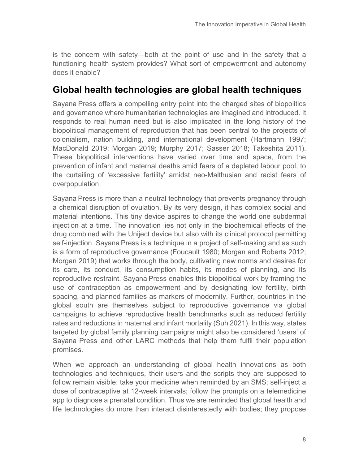is the concern with safety—both at the point of use and in the safety that a functioning health system provides? What sort of empowerment and autonomy does it enable?

#### **Global health technologies are global health techniques**

Sayana Press offers a compelling entry point into the charged sites of biopolitics and governance where humanitarian technologies are imagined and introduced. It responds to real human need but is also implicated in the long history of the biopolitical management of reproduction that has been central to the projects of colonialism, nation building, and international development (Hartmann 1997; MacDonald 2019; Morgan 2019; Murphy 2017; Sasser 2018; Takeshita 2011). These biopolitical interventions have varied over time and space, from the prevention of infant and maternal deaths amid fears of a depleted labour pool, to the curtailing of 'excessive fertility' amidst neo-Malthusian and racist fears of overpopulation.

Sayana Press is more than a neutral technology that prevents pregnancy through a chemical disruption of ovulation. By its very design, it has complex social and material intentions. This tiny device aspires to change the world one subdermal injection at a time. The innovation lies not only in the biochemical effects of the drug combined with the Uniject device but also with its clinical protocol permitting self-injection. Sayana Press is a technique in a project of self-making and as such is a form of reproductive governance (Foucault 1980; Morgan and Roberts 2012; Morgan 2019) that works through the body, cultivating new norms and desires for its care, its conduct, its consumption habits, its modes of planning, and its reproductive restraint. Sayana Press enables this biopolitical work by framing the use of contraception as empowerment and by designating low fertility, birth spacing, and planned families as markers of modernity. Further, countries in the global south are themselves subject to reproductive governance via global campaigns to achieve reproductive health benchmarks such as reduced fertility rates and reductions in maternal and infant mortality (Suh 2021). In this way, states targeted by global family planning campaigns might also be considered 'users' of Sayana Press and other LARC methods that help them fulfil their population promises.

When we approach an understanding of global health innovations as both technologies and techniques, their users and the scripts they are supposed to follow remain visible: take your medicine when reminded by an SMS; self-inject a dose of contraceptive at 12-week intervals; follow the prompts on a telemedicine app to diagnose a prenatal condition. Thus we are reminded that global health and life technologies do more than interact disinterestedly with bodies; they propose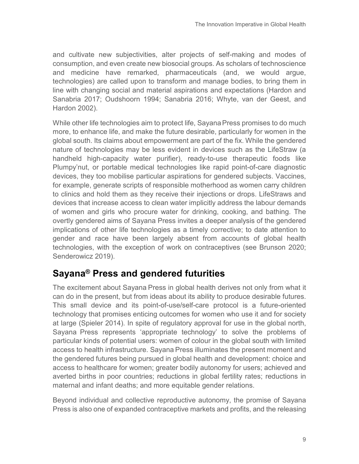and cultivate new subjectivities, alter projects of self-making and modes of consumption, and even create new biosocial groups. As scholars of technoscience and medicine have remarked, pharmaceuticals (and, we would argue, technologies) are called upon to transform and manage bodies, to bring them in line with changing social and material aspirations and expectations (Hardon and Sanabria 2017; Oudshoorn 1994; Sanabria 2016; Whyte, van der Geest, and Hardon 2002).

While other life technologies aim to protect life, Sayana Press promises to do much more, to enhance life, and make the future desirable, particularly for women in the global south. Its claims about empowerment are part of the fix. While the gendered nature of technologies may be less evident in devices such as the LifeStraw (a handheld high-capacity water purifier), ready-to-use therapeutic foods like Plumpy'nut, or portable medical technologies like rapid point-of-care diagnostic devices, they too mobilise particular aspirations for gendered subjects. Vaccines, for example, generate scripts of responsible motherhood as women carry children to clinics and hold them as they receive their injections or drops. LifeStraws and devices that increase access to clean water implicitly address the labour demands of women and girls who procure water for drinking, cooking, and bathing. The overtly gendered aims of Sayana Press invites a deeper analysis of the gendered implications of other life technologies as a timely corrective; to date attention to gender and race have been largely absent from accounts of global health technologies, with the exception of work on contraceptives (see Brunson 2020; Senderowicz 2019).

## **Sayana® Press and gendered futurities**

The excitement about Sayana Press in global health derives not only from what it can do in the present, but from ideas about its ability to produce desirable futures. This small device and its point-of-use/self-care protocol is a future-oriented technology that promises enticing outcomes for women who use it and for society at large (Spieler 2014). In spite of regulatory approval for use in the global north, Sayana Press represents 'appropriate technology' to solve the problems of particular kinds of potential users: women of colour in the global south with limited access to health infrastructure. Sayana Press illuminates the present moment and the gendered futures being pursued in global health and development: choice and access to healthcare for women; greater bodily autonomy for users; achieved and averted births in poor countries; reductions in global fertility rates; reductions in maternal and infant deaths; and more equitable gender relations.

Beyond individual and collective reproductive autonomy, the promise of Sayana Press is also one of expanded contraceptive markets and profits, and the releasing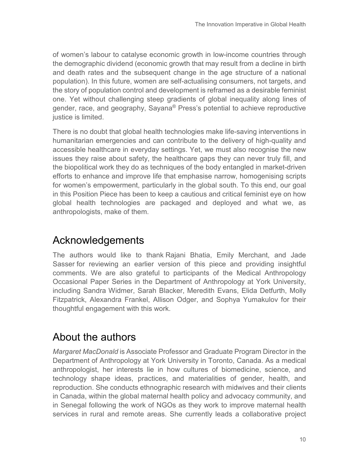of women's labour to catalyse economic growth in low-income countries through the demographic dividend (economic growth that may result from a decline in birth and death rates and the subsequent change in the age structure of a national population). In this future, women are self-actualising consumers, not targets, and the story of population control and development is reframed as a desirable feminist one. Yet without challenging steep gradients of global inequality along lines of gender, race, and geography, Sayana® Press's potential to achieve reproductive justice is limited.

There is no doubt that global health technologies make life-saving interventions in humanitarian emergencies and can contribute to the delivery of high-quality and accessible healthcare in everyday settings. Yet, we must also recognise the new issues they raise about safety, the healthcare gaps they can never truly fill, and the biopolitical work they do as techniques of the body entangled in market-driven efforts to enhance and improve life that emphasise narrow, homogenising scripts for women's empowerment, particularly in the global south. To this end, our goal in this Position Piece has been to keep a cautious and critical feminist eye on how global health technologies are packaged and deployed and what we, as anthropologists, make of them.

## Acknowledgements

The authors would like to thank Rajani Bhatia, Emily Merchant, and Jade Sasser for reviewing an earlier version of this piece and providing insightful comments. We are also grateful to participants of the Medical Anthropology Occasional Paper Series in the Department of Anthropology at York University, including Sandra Widmer, Sarah Blacker, Meredith Evans, Elida Detfurth, Molly Fitzpatrick, Alexandra Frankel, Allison Odger, and Sophya Yumakulov for their thoughtful engagement with this work.

# About the authors

*Margaret MacDonald* is Associate Professor and Graduate Program Director in the Department of Anthropology at York University in Toronto, Canada. As a medical anthropologist, her interests lie in how cultures of biomedicine, science, and technology shape ideas, practices, and materialities of gender, health, and reproduction. She conducts ethnographic research with midwives and their clients in Canada, within the global maternal health policy and advocacy community, and in Senegal following the work of NGOs as they work to improve maternal health services in rural and remote areas. She currently leads a collaborative project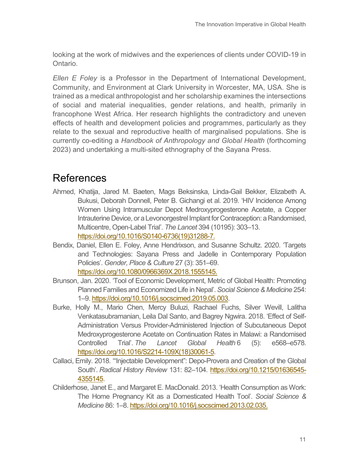looking at the work of midwives and the experiences of clients under COVID-19 in Ontario.

*Ellen E Foley* is a Professor in the Department of International Development, Community, and Environment at Clark University in Worcester, MA, USA. She is trained as a medical anthropologist and her scholarship examines the intersections of social and material inequalities, gender relations, and health, primarily in francophone West Africa. Her research highlights the contradictory and uneven effects of health and development policies and programmes, particularly as they relate to the sexual and reproductive health of marginalised populations. She is currently co-editing a *Handbook of Anthropology and Global Health* (forthcoming 2023) and undertaking a multi-sited ethnography of the Sayana Press.

#### References

- Ahmed, Khatija, Jared M. Baeten, Mags Beksinska, Linda-Gail Bekker, Elizabeth A. Bukusi, Deborah Donnell, Peter B. Gichangi et al. 2019. 'HIV Incidence Among Women Using Intramuscular Depot Medroxyprogesterone Acetate, a Copper Intrauterine Device, or a Levonorgestrel Implant for Contraception: a Randomised, Multicentre, Open-Label Trial'. *The Lancet* 394 (10195): 303–13. [https://doi.org/10.1016/S0140-6736\(19\)31288-7.](https://doi.org/10.1016/S0140-6736(19)31288-7)
- Bendix, Daniel, Ellen E. Foley, Anne Hendrixson, and Susanne Schultz. 2020. 'Targets and Technologies: Sayana Press and Jadelle in Contemporary Population Policies'. *Gender, Place & Culture* 27 (3): 351–69. [https://doi.org/10.1080/0966369X.2018.1555145.](https://doi.org/10.1080/0966369X.2018.1555145)
- Brunson, Jan. 2020. 'Tool of Economic Development, Metric of Global Health: Promoting Planned Families and Economized Life in Nepal'. *Social Science & Medicine* 254: 1–9[. https://doi.org/10.1016/j.socscimed.2019.05.003.](https://doi.org/10.1016/j.socscimed.2019.05.003)
- Burke, Holly M., Mario Chen, Mercy Buluzi, Rachael Fuchs, Silver Wevill, Lalitha Venkatasubramanian, Leila Dal Santo, and Bagrey Ngwira. 2018. 'Effect of Self-Administration Versus Provider-Administered Injection of Subcutaneous Depot Medroxyprogesterone Acetate on Continuation Rates in Malawi: a Randomised Controlled Trial'. *The Lancet Global Health* 6 (5): e568–e578. [https://doi.org/10.1016/S2214-109X\(18\)30061-5.](https://doi.org/10.1016/S2214-109X(18)30061-5)
- Callaci, Emily. 2018. '"Injectable Development": Depo-Provera and Creation of the Global South'. *Radical History Review* 131: 82–104. [https://doi.org/10.1215/01636545-](https://doi.org/10.1215/01636545-4355145) [4355145.](https://doi.org/10.1215/01636545-4355145)
- Childerhose, Janet E., and Margaret E. MacDonald. 2013. 'Health Consumption as Work: The Home Pregnancy Kit as a Domesticated Health Tool'. *Social Science & Medicine* 86: 1–8. [https://doi.org/10.1016/j.socscimed.2013.02.035.](https://doi.org/10.1016/j.socscimed.2013.02.035)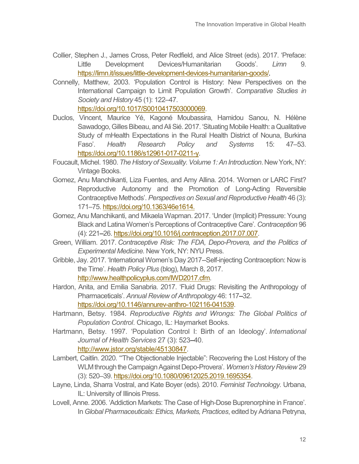- Collier, Stephen J., James Cross, Peter Redfield, and Alice Street (eds). 2017. 'Preface: Little Development Devices/Humanitarian Goods'. *Limn* 9. [https://limn.it/issues/little-development-devices-humanitarian-goods/](https://limn.it/articles/precis-little-development-devices-humanitarian-goods/).
- Connelly, Matthew, 2003. 'Population Control is History: New Perspectives on the International Campaign to Limit Population Growth'. *Comparative Studies in Society and History* 45 (1): 122–47. [https://doi.org/10.1017/S0010417503000069.](https://doi.org/10.1017/S0010417503000069)

Duclos, Vincent, Maurice Yé, Kagoné Moubassira, Hamidou Sanou, N. Hélène Sawadogo, Gilles Bibeau, and Ali Sié. 2017. 'Situating Mobile Health: a Qualitative Study of mHealth Expectations in the Rural Health District of Nouna, Burkina

- Faso'. *Health Research Policy and Systems* 15: 47–53. [https://doi.org/10.1186/s12961-017-0211-y.](https://doi.org/10.1186/s12961-017-0211-y)
- Foucault, Michel. 1980. *The History of Sexuality. Volume 1: An Introduction*. New York, NY: Vintage Books.
- Gomez, Anu Manchikanti, Liza Fuentes, and Amy Allina. 2014. 'Women or LARC First? Reproductive Autonomy and the Promotion of Long-Acting Reversible Contraceptive Methods'. *Perspectives on Sexual and Reproductive Health* 46 (3): 171–75[. https://doi.org/10.1363/46e1614.](https://doi.org/10.1363/46e1614.)
- Gomez, Anu Manchikanti, and Mikaela Wapman. 2017. 'Under (Implicit) Pressure: Young Black and Latina Women's Perceptions of Contraceptive Care'. *Contraception* 96 (4): 221–26. [https://doi.org/10.1016/j.contraception.2017.07.007.](https://doi.org/10.1016/j.contraception.2017.07.007)
- Green, William. 2017. *Contraceptive Risk: The FDA, Depo-Provera, and the Politics of Experimental Medicine.* New York, NY: NYU Press.
- Gribble, Jay. 2017. 'International Women's Day 2017--Self-injecting Contraception: Now is the Time'. *Health Policy Plus* (blog), March 8, 2017. [http://www.healthpolicyplus.com/IWD2017.cfm.](http://www.healthpolicyplus.com/IWD2017.cfm)
- Hardon, Anita, and Emilia Sanabria. 2017. 'Fluid Drugs: Revisiting the Anthropology of Pharmaceticals'. *Annual Review of Anthropology* 46: 117–32. [https://doi.org/10.1146/annurev-anthro-102116-041539.](https://doi.org/10.1146/annurev-anthro-102116-041539)
- Hartmann, Betsy. 1984. *Reproductive Rights and Wrongs: The Global Politics of Population Control*. Chicago, IL: Haymarket Books.
- Hartmann, Betsy. 1997. 'Population Control I: Birth of an Ideology'. *International Journal of Health Services* 27 (3): 523–40. [http://www.jstor.org/stable/45130847.](http://www.jstor.org/stable/45130847)
- Lambert, Caitlin. 2020. '"The Objectionable Injectable": Recovering the Lost History of the WLM through the Campaign Against Depo-Provera'. *Women's History Review* 29 (3): 520–39. [https://doi.org/10.1080/09612025.2019.1695354.](https://doi.org/10.1080/09612025.2019.1695354)
- Layne, Linda, Sharra Vostral, and Kate Boyer (eds). 2010. *Feminist Technology.* Urbana, IL: University of Illinois Press.
- Lovell, Anne. 2006. 'Addiction Markets: The Case of High-Dose Buprenorphine in France'. In *Global Pharmaceuticals: Ethics, Markets, Practices*, edited by Adriana Petryna,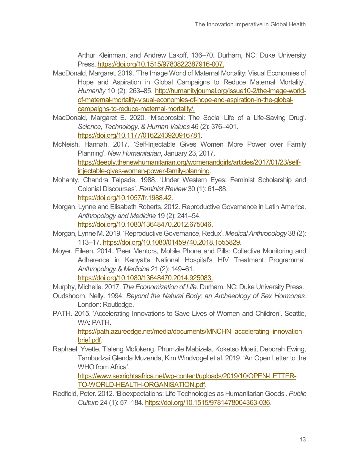Arthur Kleinman, and Andrew Lakoff, 136–70. Durham, NC: Duke University Press[. https://doi.org/10.1515/9780822387916-007.](https://doi.org/10.1515/9780822387916-007)

- MacDonald, Margaret. 2019. 'The Image World of Maternal Mortality: Visual Economies of Hope and Aspiration in Global Campaigns to Reduce Maternal Mortality'. *Humanity* 10 (2): 263–85. [http://humanityjournal.org/issue10-2/the-image-world](http://humanityjournal.org/issue10-2/the-image-world-of-maternal-mortality-visual-economies-of-hope-and-aspiration-in-the-global-campaigns-to-reduce-maternal-mortality/)[of-maternal-mortality-visual-economies-of-hope-and-aspiration-in-the-global](http://humanityjournal.org/issue10-2/the-image-world-of-maternal-mortality-visual-economies-of-hope-and-aspiration-in-the-global-campaigns-to-reduce-maternal-mortality/)[campaigns-to-reduce-maternal-mortality/.](http://humanityjournal.org/issue10-2/the-image-world-of-maternal-mortality-visual-economies-of-hope-and-aspiration-in-the-global-campaigns-to-reduce-maternal-mortality/)
- MacDonald, Margaret E. 2020. 'Misoprostol: The Social Life of a Life-Saving Drug'. *Science, Technology, & Human Values* 46 (2): 376–401. [https://doi.org/10.1177/0162243920916781.](https://doi.org/10.1177/0162243920916781)
- McNeish, Hannah. 2017. 'Self-Injectable Gives Women More Power over Family Planning'. *New Humanitarian*, January 23, 2017. [https://deeply.thenewhumanitarian.org/womenandgirls/articles/2017/01/23/self](https://deeply.thenewhumanitarian.org/womenandgirls/articles/2017/01/23/self-injectable-gives-women-power-family-planning)[injectable-gives-women-power-family-planning.](https://deeply.thenewhumanitarian.org/womenandgirls/articles/2017/01/23/self-injectable-gives-women-power-family-planning)
- Mohanty, Chandra Talpade. 1988. 'Under Western Eyes: Feminist Scholarship and Colonial Discourses'. *Feminist Review* 30 (1): 61–88. [https://doi.org/10.1057/fr.1988.42.](https://doi.org/10.1057/fr.1988.42)
- Morgan, Lynne and Elisabeth Roberts. 2012. Reproductive Governance in Latin America. *Anthropology and Medicine* 19 (2): 241–54. [https://doi.org/10.1080/13648470.2012.675046.](https://doi.org/10.1080/13648470.2012.675046)
- Morgan, Lynne M. 2019. 'Reproductive Governance, Redux'. *Medical Anthropology* 38 (2): 113–17[. https://doi.org/10.1080/01459740.2018.1555829.](https://doi.org/10.1080/01459740.2018.1555829)
- Moyer, Eileen. 2014. 'Peer Mentors, Mobile Phone and Pills: Collective Monitoring and Adherence in Kenyatta National Hospital's HIV Treatment Programme'*. Anthropology & Medicine* 21 (2): 149–61. [https://doi.org/10.1080/13648470.2014.925083.](https://doi.org/10.1080/13648470.2014.925083)

Murphy, Michelle. 2017. *The Economization of Life*. Durham, NC: Duke University Press.

- Oudshoorn, Nelly. 1994. *Beyond the Natural Body; an Archaeology of Sex Hormones*. London: Routledge.
- PATH. 2015. 'Accelerating Innovations to Save Lives of Women and Children'. Seattle, WA: PATH.

[https://path.azureedge.net/media/documents/MNCHN\\_accelerating\\_innovation\\_](https://path.azureedge.net/media/documents/MNCHN_accelerating_innovation_brief.pdf) [brief.pdf.](https://path.azureedge.net/media/documents/MNCHN_accelerating_innovation_brief.pdf)

Raphael, Yvette, Tlaleng Mofokeng, Phumzile Mabizela, Koketso Moeti, Deborah Ewing, Tambudzai Glenda Muzenda, Kim Windvogel et al. 2019. 'An Open Letter to the WHO from Africa'.

[https://www.sexrightsafrica.net/wp-content/uploads/2019/10/OPEN-LETTER-](https://www.sexrightsafrica.net/wp-content/uploads/2019/10/OPEN-LETTER-TO-WORLD-HEALTH-ORGANISATION.pdf)[TO-WORLD-HEALTH-ORGANISATION.pdf.](https://www.sexrightsafrica.net/wp-content/uploads/2019/10/OPEN-LETTER-TO-WORLD-HEALTH-ORGANISATION.pdf)

Redfield, Peter. 2012. 'Bioexpectations: Life Technologies as Humanitarian Goods'. *Public Culture* 24 (1): 57–184. [https://doi.org/10.1515/9781478004363-036.](https://doi.org/10.1515/9781478004363-036)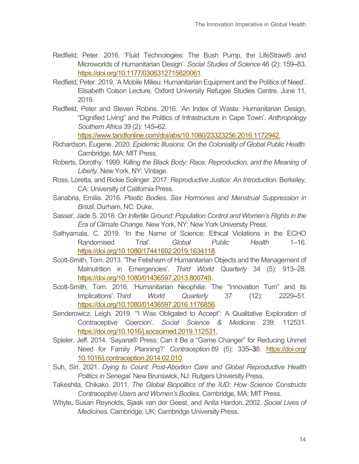- Redfield, Peter. 2016. 'Fluid Technologies: The Bush Pump, the LifeStraw® and Microworlds of Humanitarian Design'. *Social Studies of Science* 46 (2): 159–83. [https://doi.org/10.1177/0306312715620061.](https://doi.org/10.1177/0306312715620061)
- Redfield, Peter. 2019. 'A Mobile Milieu: Humanitarian Equipment and the Politics of Need'. Elisabeth Colson Lecture. Oxford University Refugee Studies Centre. June 11, 2019.
- Redfield, Peter and Steven Robins. 2016. 'An Index of Waste: Humanitarian Design, "Dignified Living" and the Politics of Infrastructure in Cape Town'. *Anthropology Southern Africa* 39 (2): 145–62.

[https://www.tandfonline.com/doi/abs/10.1080/23323256.2016.1172942.](https://www.tandfonline.com/doi/abs/10.1080/23323256.2016.1172942)

- Richardson, Eugene. 2020. *Epidemic Illusions. On the Coloniality of Global Public Health*. Cambridge, MA: MIT Press.
- Roberts, Dorothy. 1999. K*illing the Black Body: Race, Reproduction, and the Meaning of Liberty.* New York, NY: Vintage.
- Ross, Loretta, and Rickie Solinger. 2017. *Reproductive Justice: An Introduction.* Berkeley, CA: University of California Press.
- Sanabria, Emilia. 2016. *Plastic Bodies. Sex Hormones and Menstrual Suppression in Brazil.* Durham, NC: Duke.
- Sasser, Jade S. 2018. *On Infertile Ground: Population Control and Women's Rights in the Era of Climate Change.* New York, NY: New York University Press.
- Sathyamala, C. 2019. 'In the Name of Science: Ethical Violations in the ECHO Randomised Trial'. *Global Public Health* 1–16. [https://doi.org/10.1080/17441692.2019.1634118.](https://doi.org/10.1080/17441692.2019.1634118)
- Scott-Smith, Tom. 2013. 'The Fetishism of Humanitarian Objects and the Management of Malnutrition in Emergencies'. *Third World Quarterly* 34 (5): 913–28. [https://doi.org/10.1080/01436597.2013.800749.](https://doi.org/10.1080/01436597.2013.800749)
- Scott-Smith, Tom. 2016. 'Humanitarian Neophilia: The "Innovation Turn" and its Implications'. *Third World Quarterly* 37 (12): 2229–51. [https://doi.org/10.1080/01436597.2016.1176856.](https://doi.org/10.1080/01436597.2016.1176856)
- Senderowicz, Leigh. 2019. '"I Was Obligated to Accept": A Qualitative Exploration of Contraceptive Coercion'. *Social Science & Medicine* 239: 112531. [https://doi.org/10.1016/j.socscimed.2019.112531.](https://doi.org/10.1016/j.socscimed.2019.112531)
- Spieler, Jeff. 2014. 'Sayana® Press: Can it Be a "Game Changer" for Reducing Unmet Need for Family Planning?' *Contraception* 89 (5): 335–38. [https://doi.org/](https://doi.org/%2010.1016/j.contraception.2014.02.010) [10.1016/j.contraception.2014.02.010.](https://doi.org/%2010.1016/j.contraception.2014.02.010)
- Suh, Siri. 2021. *Dying to Count: Post-Abortion Care and Global Reproductive Health Politics in Senegal.* New Brunswick, NJ: Rutgers University Press.
- Takeshita, Chikako. 2011. *The Global Biopolitics of the IUD: How Science Constructs Contraceptive Users and Women's Bodies*. Cambridge, MA: MIT Press.
- Whyte, Susan Reynolds, Sjaak van der Geest, and Anita Hardon. 2002. *Social Lives of Medicines*. Cambridge, UK: Cambridge University Press.